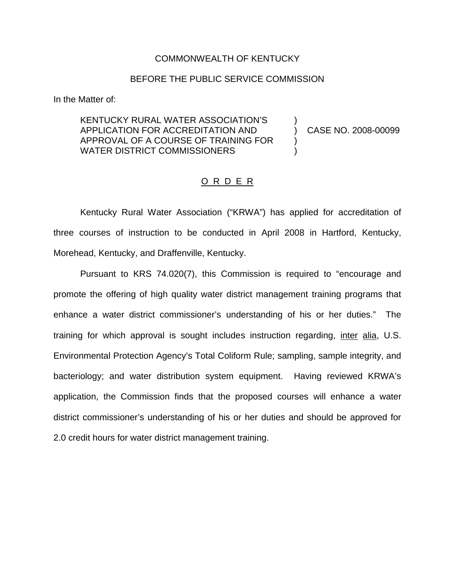## COMMONWEALTH OF KENTUCKY

## BEFORE THE PUBLIC SERVICE COMMISSION

In the Matter of:

## KENTUCKY RURAL WATER ASSOCIATION'S ) APPLICATION FOR ACCREDITATION AND ) CASE NO. 2008-00099 APPROVAL OF A COURSE OF TRAINING FOR ) WATER DISTRICT COMMISSIONERS

## O R D E R

Kentucky Rural Water Association ("KRWA") has applied for accreditation of three courses of instruction to be conducted in April 2008 in Hartford, Kentucky, Morehead, Kentucky, and Draffenville, Kentucky.

Pursuant to KRS 74.020(7), this Commission is required to "encourage and promote the offering of high quality water district management training programs that enhance a water district commissioner's understanding of his or her duties." The training for which approval is sought includes instruction regarding, inter alia, U.S. Environmental Protection Agency's Total Coliform Rule; sampling, sample integrity, and bacteriology; and water distribution system equipment. Having reviewed KRWA's application, the Commission finds that the proposed courses will enhance a water district commissioner's understanding of his or her duties and should be approved for 2.0 credit hours for water district management training.